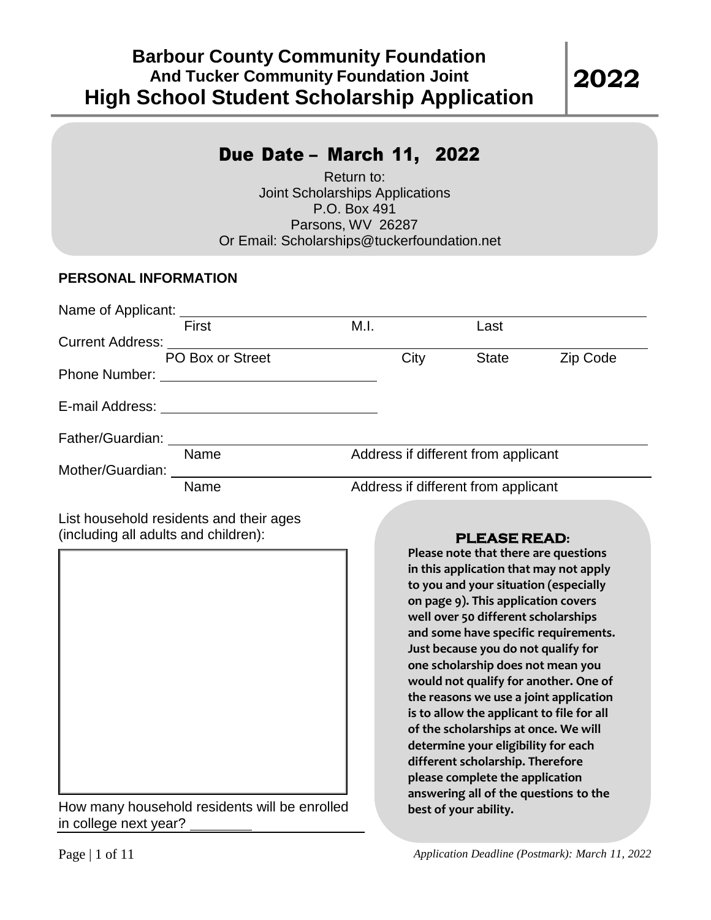### Due Date – March 11, 2022

Return to: Joint Scholarships Applications P.O. Box 491 Parsons, WV 26287 Or Email: [Scholarships@tuckerfoundation.net](mailto:Scholarships@tuckerfoundation.net)

#### **PERSONAL INFORMATION**

| First                   | M.I.                                | Last                                |          |  |
|-------------------------|-------------------------------------|-------------------------------------|----------|--|
| <b>Current Address:</b> |                                     |                                     |          |  |
| PO Box or Street        | City                                | <b>State</b>                        | Zip Code |  |
| <b>Phone Number:</b>    |                                     |                                     |          |  |
|                         |                                     |                                     |          |  |
| Father/Guardian:        |                                     |                                     |          |  |
| Name                    |                                     | Address if different from applicant |          |  |
| Mother/Guardian:        |                                     |                                     |          |  |
| Name                    | Address if different from applicant |                                     |          |  |

List household residents and their ages (including all adults and children):

How many household residents will be enrolled in college next year?

### **PLEASE READ:**

**Please note that there are questions in this application that may not apply to you and your situation (especially on page 9). This application covers well over 50 different scholarships and some have specific requirements. Just because you do not qualify for one scholarship does not mean you would not qualify for another. One of the reasons we use a joint application is to allow the applicant to file for all of the scholarships at once. We will determine your eligibility for each different scholarship. Therefore please complete the application answering all of the questions to the best of your ability.**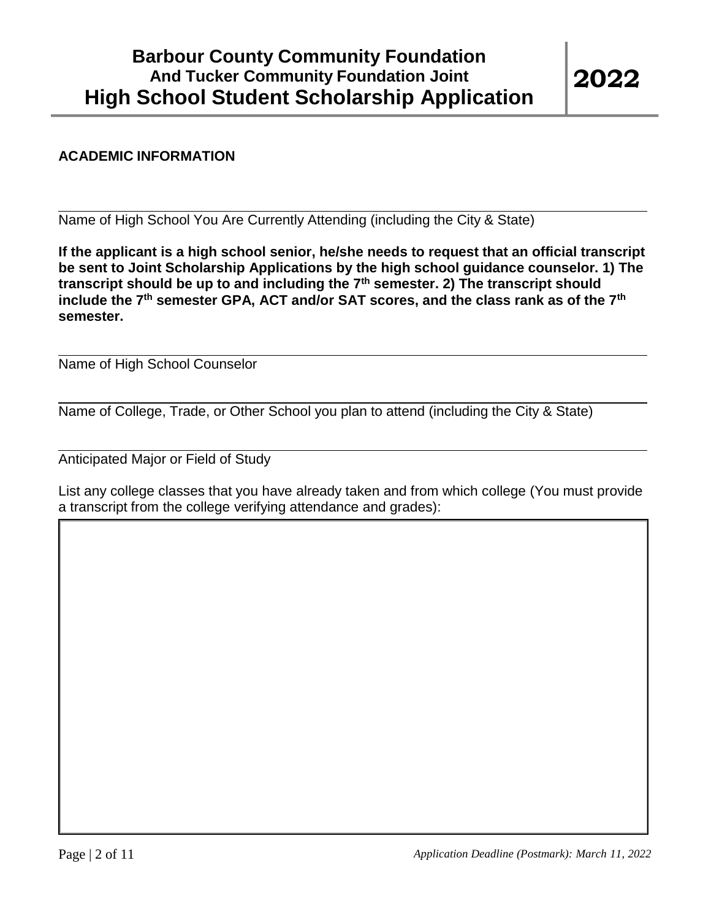#### **ACADEMIC INFORMATION**

Name of High School You Are Currently Attending (including the City & State)

**If the applicant is a high school senior, he/she needs to request that an official transcript be sent to Joint Scholarship Applications by the high school guidance counselor. 1) The transcript should be up to and including the 7th semester. 2) The transcript should include the 7th semester GPA, ACT and/or SAT scores, and the class rank as of the 7th semester.**

Name of High School Counselor

Name of College, Trade, or Other School you plan to attend (including the City & State)

Anticipated Major or Field of Study

List any college classes that you have already taken and from which college (You must provide a transcript from the college verifying attendance and grades):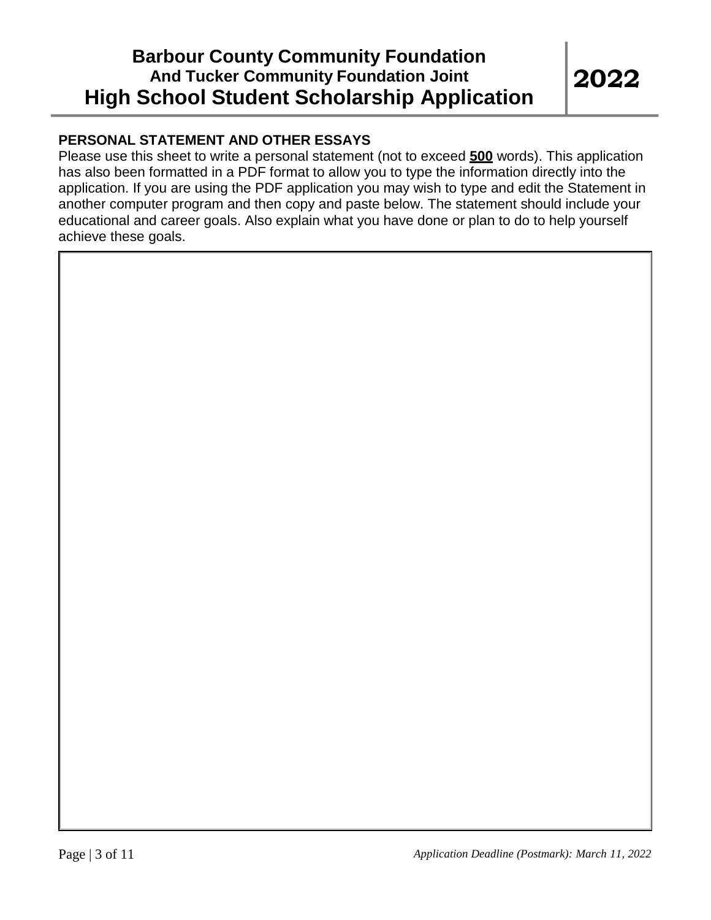### **PERSONAL STATEMENT AND OTHER ESSAYS**

Please use this sheet to write a personal statement (not to exceed **500** words). This application has also been formatted in a PDF format to allow you to type the information directly into the application. If you are using the PDF application you may wish to type and edit the Statement in another computer program and then copy and paste below. The statement should include your educational and career goals. Also explain what you have done or plan to do to help yourself achieve these goals.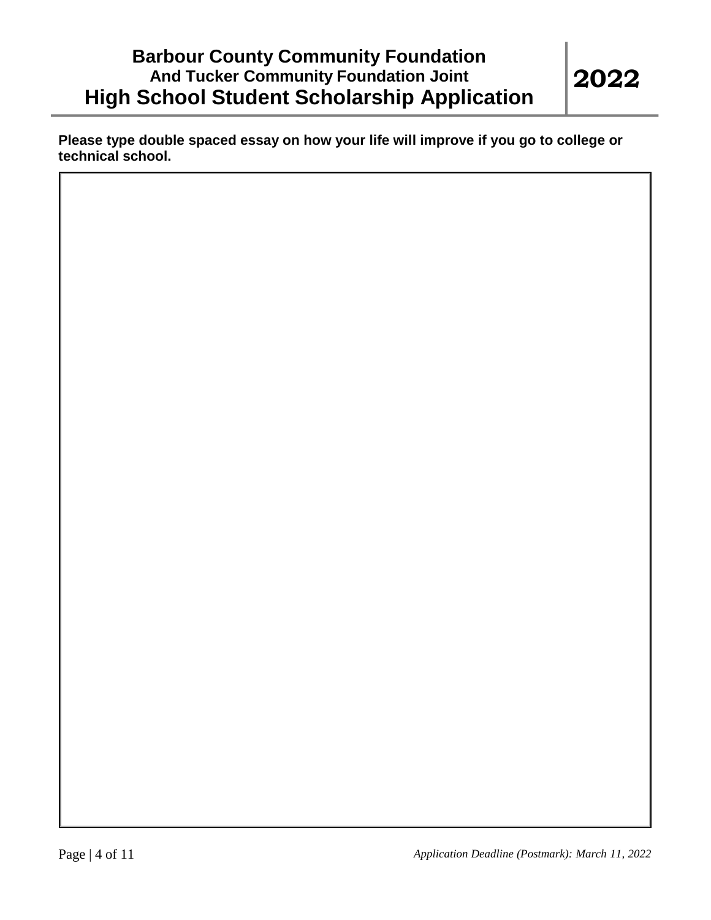**Please type double spaced essay on how your life will improve if you go to college or technical school.**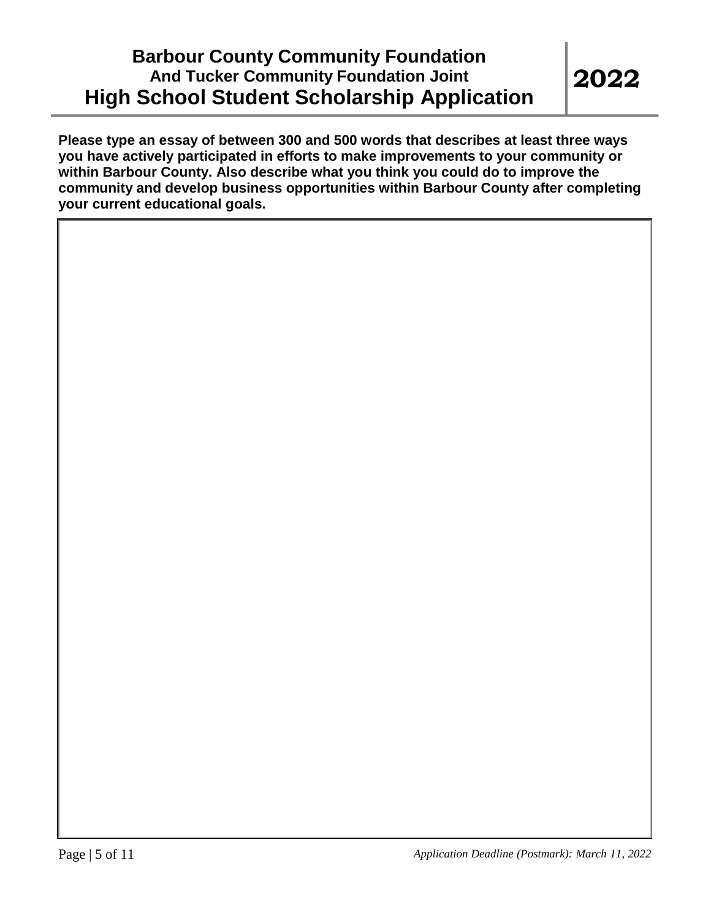**Please type an essay of between 300 and 500 words that describes at least three ways you have actively participated in efforts to make improvements to your community or within Barbour County. Also describe what you think you could do to improve the community and develop business opportunities within Barbour County after completing your current educational goals.**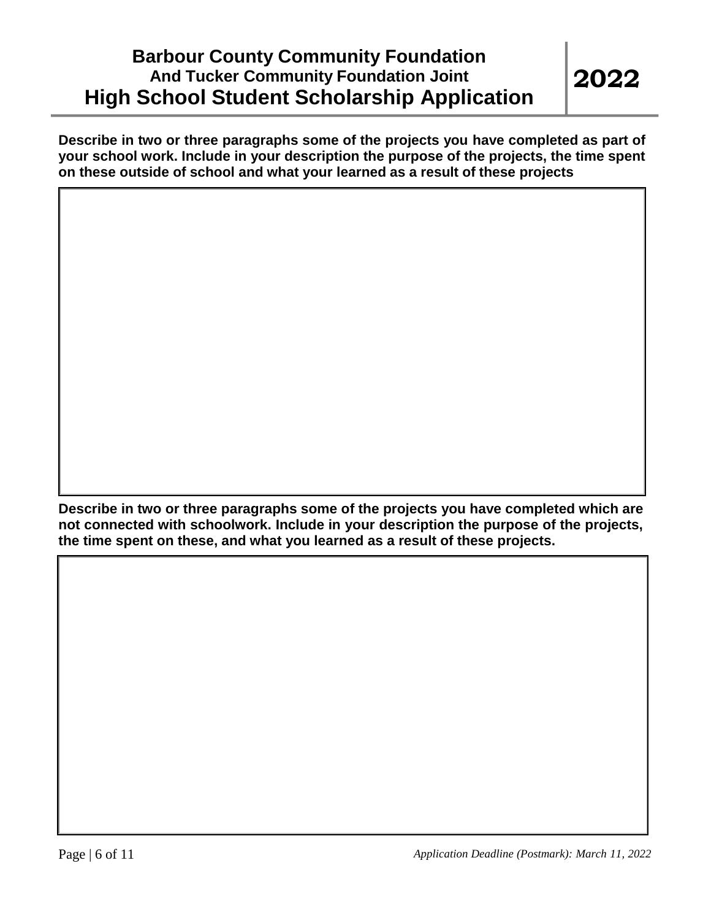**Describe in two or three paragraphs some of the projects you have completed as part of your school work. Include in your description the purpose of the projects, the time spent on these outside of school and what your learned as a result of these projects**

**Describe in two or three paragraphs some of the projects you have completed which are not connected with schoolwork. Include in your description the purpose of the projects, the time spent on these, and what you learned as a result of these projects.**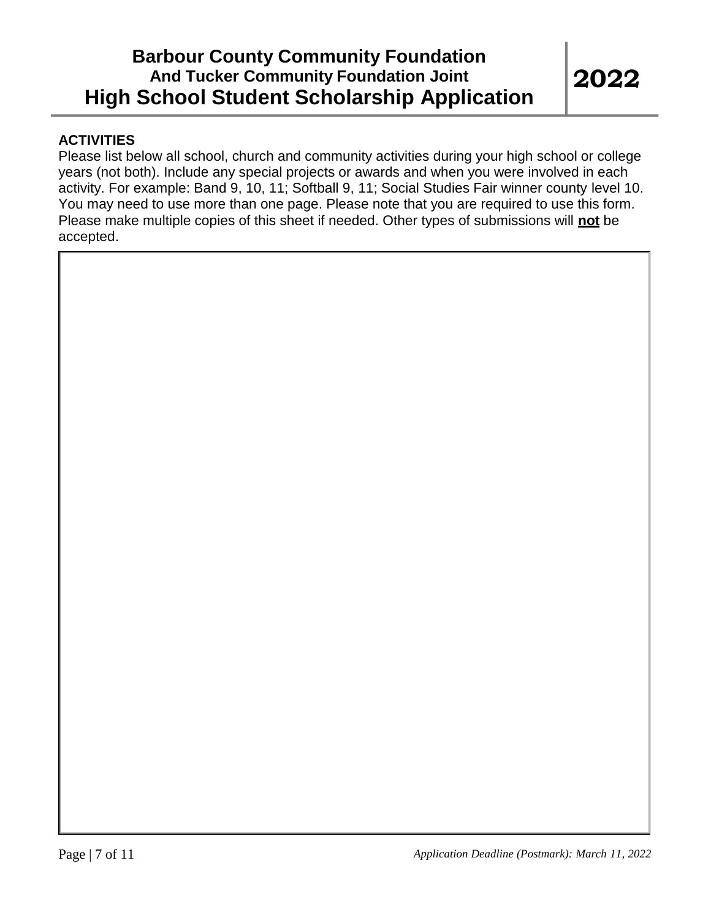#### **ACTIVITIES**

Please list below all school, church and community activities during your high school or college years (not both). Include any special projects or awards and when you were involved in each activity. For example: Band 9, 10, 11; Softball 9, 11; Social Studies Fair winner county level 10. You may need to use more than one page. Please note that you are required to use this form. Please make multiple copies of this sheet if needed. Other types of submissions will **not** be accepted.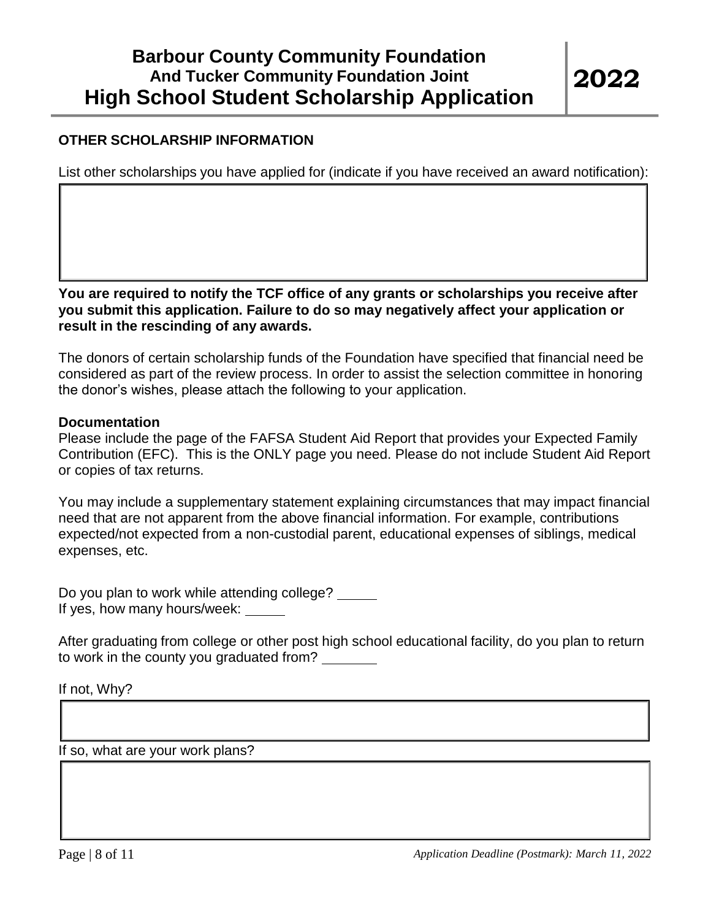#### **OTHER SCHOLARSHIP INFORMATION**

List other scholarships you have applied for (indicate if you have received an award notification):

**You are required to notify the TCF office of any grants or scholarships you receive after you submit this application. Failure to do so may negatively affect your application or result in the rescinding of any awards.**

The donors of certain scholarship funds of the Foundation have specified that financial need be considered as part of the review process. In order to assist the selection committee in honoring the donor's wishes, please attach the following to your application.

#### **Documentation**

Please include the page of the FAFSA Student Aid Report that provides your Expected Family Contribution (EFC). This is the ONLY page you need. Please do not include Student Aid Report or copies of tax returns.

You may include a supplementary statement explaining circumstances that may impact financial need that are not apparent from the above financial information. For example, contributions expected/not expected from a non-custodial parent, educational expenses of siblings, medical expenses, etc.

Do you plan to work while attending college? If yes, how many hours/week:

After graduating from college or other post high school educational facility, do you plan to return to work in the county you graduated from?

If not, Why?

If so, what are your work plans?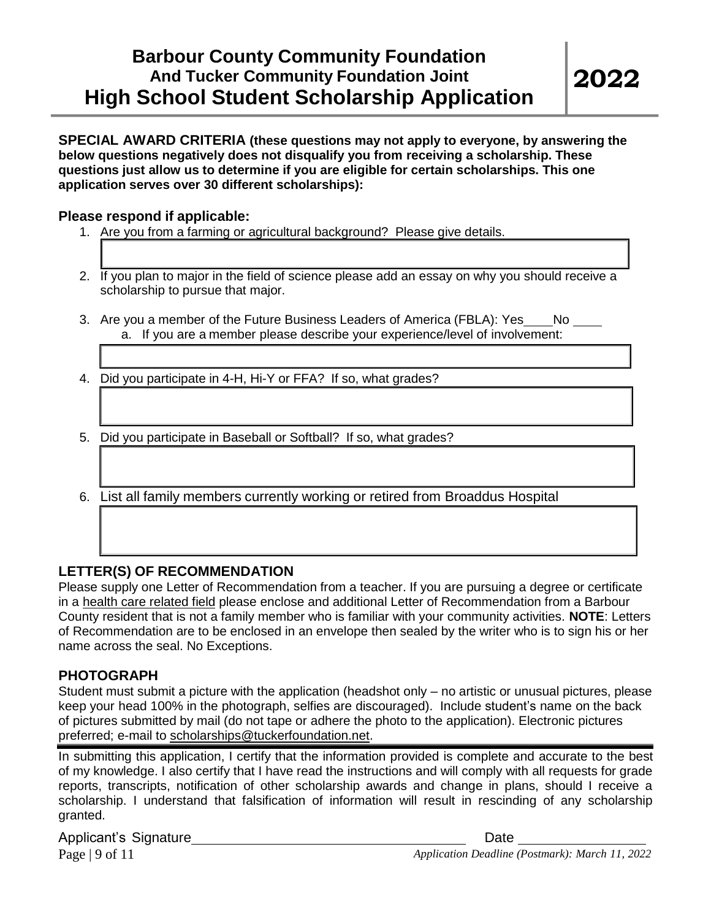**SPECIAL AWARD CRITERIA (these questions may not apply to everyone, by answering the below questions negatively does not disqualify you from receiving a scholarship. These questions just allow us to determine if you are eligible for certain scholarships. This one application serves over 30 different scholarships):**

#### **Please respond if applicable:**

- 1. Are you from a farming or agricultural background? Please give details.
- 2. If you plan to major in the field of science please add an essay on why you should receive a scholarship to pursue that major.
- 3. Are you a member of the Future Business Leaders of America (FBLA): Yes \_\_\_\_ No a. If you are a member please describe your experience/level of involvement:
- 4. Did you participate in 4-H, Hi-Y or FFA? If so, what grades?
- 5. Did you participate in Baseball or Softball? If so, what grades?
- 6. List all family members currently working or retired from Broaddus Hospital

#### **LETTER(S) OF RECOMMENDATION**

Please supply one Letter of Recommendation from a teacher. If you are pursuing a degree or certificate in a health care related field please enclose and additional Letter of Recommendation from a Barbour County resident that is not a family member who is familiar with your community activities. **NOTE**: Letters of Recommendation are to be enclosed in an envelope then sealed by the writer who is to sign his or her name across the seal. No Exceptions.

#### **PHOTOGRAPH**

Student must submit a picture with the application (headshot only – no artistic or unusual pictures, please keep your head 100% in the photograph, selfies are discouraged). Include student's name on the back of pictures submitted by mail (do not tape or adhere the photo to the application). Electronic pictures preferred; e-mail to [scholarships@tuckerfoundation.net.](mailto:scholarships@tuckerfoundation.net)

In submitting this application, I certify that the information provided is complete and accurate to the best of my knowledge. I also certify that I have read the instructions and will comply with all requests for grade reports, transcripts, notification of other scholarship awards and change in plans, should I receive a scholarship. I understand that falsification of information will result in rescinding of any scholarship granted.

Applicant's Signature **Date** Date **Date**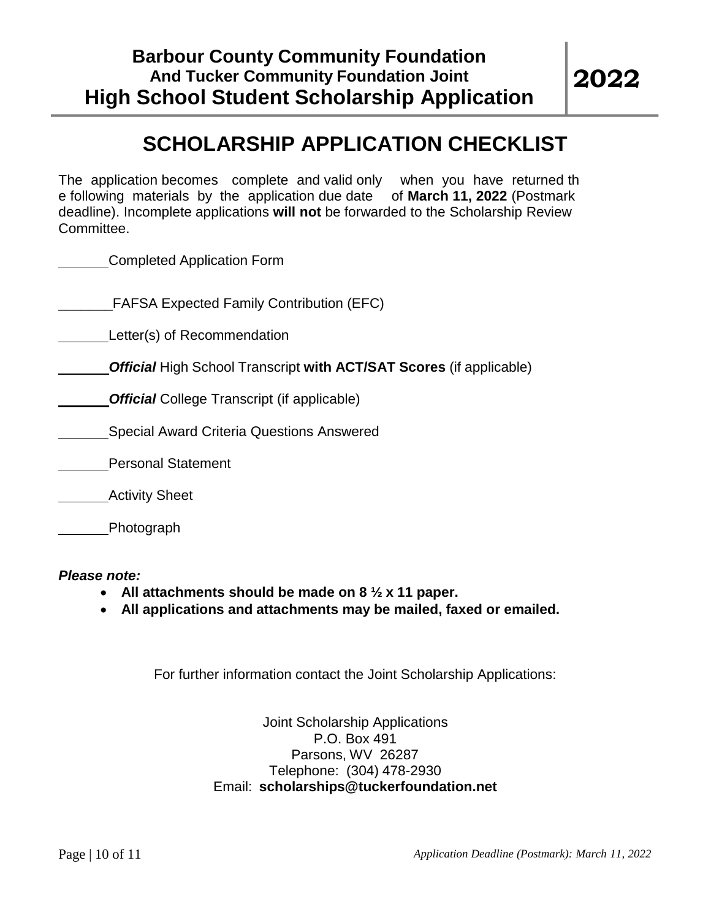# **SCHOLARSHIP APPLICATION CHECKLIST**

The application becomes complete and valid only when you have returned th e following materials by the application due date of **March 11, 2022** (Postmark deadline). Incomplete applications **will not** be forwarded to the Scholarship Review Committee.

Completed Application Form

\_\_\_\_\_\_\_FAFSA Expected Family Contribution (EFC)

Letter(s) of Recommendation

*Official* High School Transcript **with ACT/SAT Scores** (if applicable)

*Official* College Transcript (if applicable)

Special Award Criteria Questions Answered

Personal Statement

Activity Sheet

Photograph

*Please note:*

- **All attachments should be made on 8 ½ x 11 paper.**
- **All applications and attachments may be mailed, faxed or emailed.**

For further information contact the Joint Scholarship Applications:

Joint Scholarship Applications P.O. Box 491 Parsons, WV 26287 Telephone: (304) 478-2930 Email: **[scholarships@tuckerfoundation.net](mailto:scholarships@tuckerfoundation.net)**